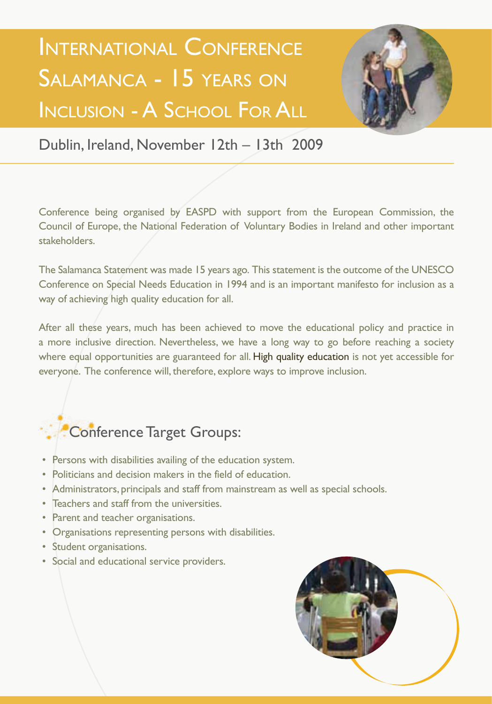## International Conference SALAMANCA - 15 YEARS ON Inclusion - A School For All



Dublin, Ireland, November 12th – 13th 2009

Conference being organised by EASPD with support from the European Commission, the Council of Europe, the National Federation of Voluntary Bodies in Ireland and other important stakeholders.

The Salamanca Statement was made 15 years ago. This statement is the outcome of the UNESCO Conference on Special Needs Education in 1994 and is an important manifesto for inclusion as a way of achieving high quality education for all.

After all these years, much has been achieved to move the educational policy and practice in a more inclusive direction. Nevertheless, we have a long way to go before reaching a society where equal opportunities are guaranteed for all. High quality education is not yet accessible for everyone. The conference will, therefore, explore ways to improve inclusion.

## Conference Target Groups:

- Persons with disabilities availing of the education system.
- Politicians and decision makers in the field of education.
- Administrators, principals and staff from mainstream as well as special schools.
- Teachers and staff from the universities.
- Parent and teacher organisations.
- Organisations representing persons with disabilities.
- Student organisations.
- Social and educational service providers.